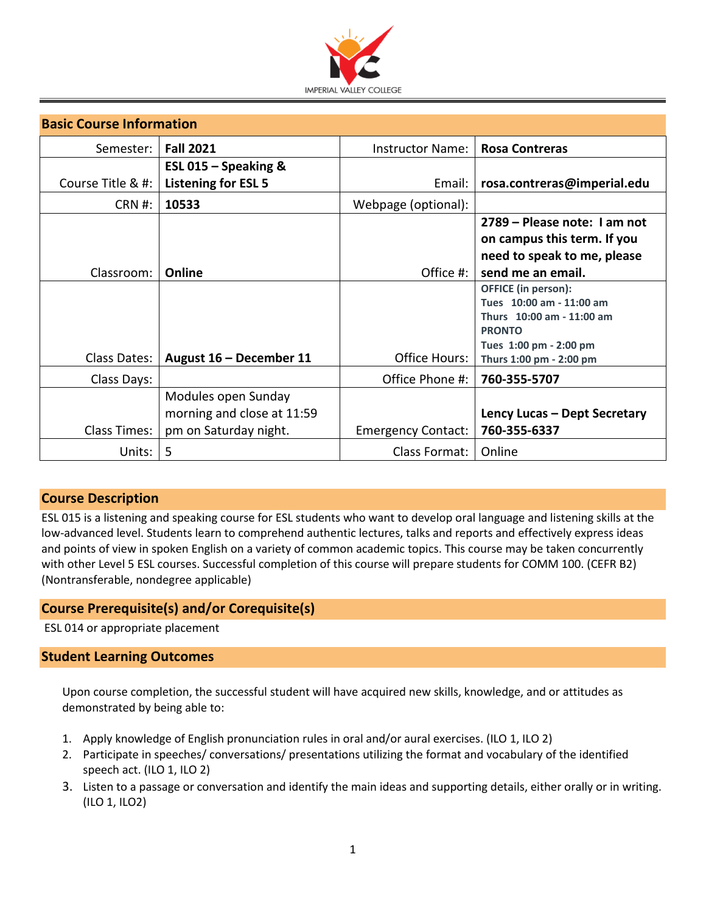

| <b>Basic Course Information</b> |                            |                           |                                            |  |  |
|---------------------------------|----------------------------|---------------------------|--------------------------------------------|--|--|
| Semester:                       | <b>Fall 2021</b>           | Instructor Name: I        | <b>Rosa Contreras</b>                      |  |  |
|                                 | ESL 015 $-$ Speaking &     |                           |                                            |  |  |
| Course Title & #:               | <b>Listening for ESL 5</b> | Email:                    | rosa.contreras@imperial.edu                |  |  |
| CRN #:                          | 10533                      | Webpage (optional):       |                                            |  |  |
|                                 |                            |                           | 2789 - Please note: I am not               |  |  |
|                                 |                            |                           | on campus this term. If you                |  |  |
|                                 |                            |                           | need to speak to me, please                |  |  |
| Classroom:                      | Online                     | Office $\#$ :             | send me an email.                          |  |  |
|                                 |                            |                           | <b>OFFICE</b> (in person):                 |  |  |
|                                 |                            |                           | Tues 10:00 am - 11:00 am                   |  |  |
|                                 |                            |                           | Thurs 10:00 am - 11:00 am<br><b>PRONTO</b> |  |  |
|                                 |                            |                           | Tues 1:00 pm - 2:00 pm                     |  |  |
| Class Dates:                    | August 16 - December 11    | Office Hours: I           | Thurs 1:00 pm - 2:00 pm                    |  |  |
| Class Days:                     |                            | Office Phone #:           | 760-355-5707                               |  |  |
|                                 | Modules open Sunday        |                           |                                            |  |  |
|                                 | morning and close at 11:59 |                           | Lency Lucas – Dept Secretary               |  |  |
| <b>Class Times:</b>             | pm on Saturday night.      | <b>Emergency Contact:</b> | 760-355-6337                               |  |  |
| Units:                          | 5                          | Class Format:             | Online                                     |  |  |

# **Course Description**

ESL 015 is a listening and speaking course for ESL students who want to develop oral language and listening skills at the low-advanced level. Students learn to comprehend authentic lectures, talks and reports and effectively express ideas and points of view in spoken English on a variety of common academic topics. This course may be taken concurrently with other Level 5 ESL courses. Successful completion of this course will prepare students for COMM 100. (CEFR B2) (Nontransferable, nondegree applicable)

# **Course Prerequisite(s) and/or Corequisite(s)**

ESL 014 or appropriate placement

# **Student Learning Outcomes**

Upon course completion, the successful student will have acquired new skills, knowledge, and or attitudes as demonstrated by being able to:

- 1. Apply knowledge of English pronunciation rules in oral and/or aural exercises. (ILO 1, ILO 2)
- 2. Participate in speeches/ conversations/ presentations utilizing the format and vocabulary of the identified speech act. (ILO 1, ILO 2)
- 3. Listen to a passage or conversation and identify the main ideas and supporting details, either orally or in writing. (ILO 1, ILO2)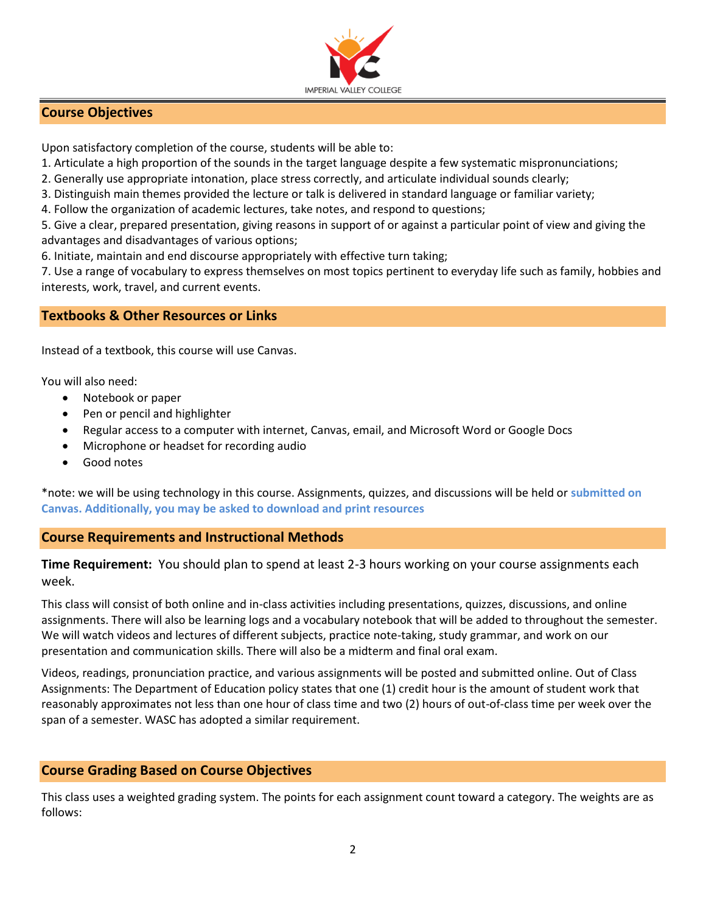

# **Course Objectives**

Upon satisfactory completion of the course, students will be able to:

1. Articulate a high proportion of the sounds in the target language despite a few systematic mispronunciations;

2. Generally use appropriate intonation, place stress correctly, and articulate individual sounds clearly;

3. Distinguish main themes provided the lecture or talk is delivered in standard language or familiar variety;

4. Follow the organization of academic lectures, take notes, and respond to questions;

5. Give a clear, prepared presentation, giving reasons in support of or against a particular point of view and giving the advantages and disadvantages of various options;

6. Initiate, maintain and end discourse appropriately with effective turn taking;

7. Use a range of vocabulary to express themselves on most topics pertinent to everyday life such as family, hobbies and interests, work, travel, and current events.

# **Textbooks & Other Resources or Links**

Instead of a textbook, this course will use Canvas.

You will also need:

- Notebook or paper
- Pen or pencil and highlighter
- Regular access to a computer with internet, Canvas, email, and Microsoft Word or Google Docs
- Microphone or headset for recording audio
- Good notes

\*note: we will be using technology in this course. Assignments, quizzes, and discussions will be held or **submitted on Canvas. Additionally, you may be asked to download and print resources**

# **Course Requirements and Instructional Methods**

**Time Requirement:** You should plan to spend at least 2-3 hours working on your course assignments each week.

This class will consist of both online and in-class activities including presentations, quizzes, discussions, and online assignments. There will also be learning logs and a vocabulary notebook that will be added to throughout the semester. We will watch videos and lectures of different subjects, practice note-taking, study grammar, and work on our presentation and communication skills. There will also be a midterm and final oral exam.

Videos, readings, pronunciation practice, and various assignments will be posted and submitted online. Out of Class Assignments: The Department of Education policy states that one (1) credit hour is the amount of student work that reasonably approximates not less than one hour of class time and two (2) hours of out-of-class time per week over the span of a semester. WASC has adopted a similar requirement.

# **Course Grading Based on Course Objectives**

This class uses a weighted grading system. The points for each assignment count toward a category. The weights are as follows: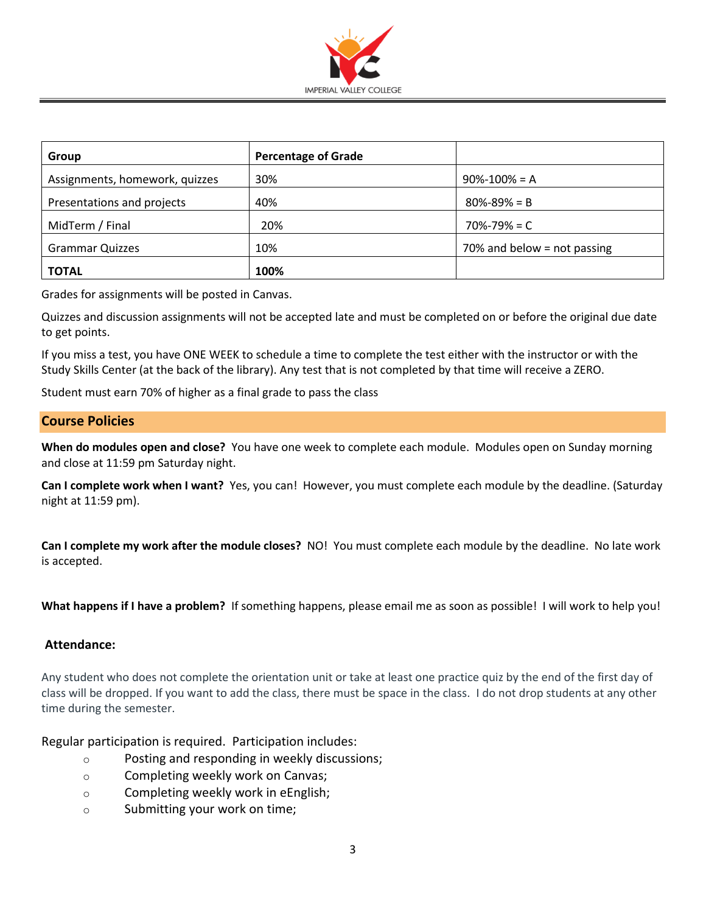

| Group                          | <b>Percentage of Grade</b> |                             |
|--------------------------------|----------------------------|-----------------------------|
| Assignments, homework, quizzes | 30%                        | $90\% - 100\% = A$          |
| Presentations and projects     | 40%                        | $80\% - 89\% = B$           |
| MidTerm / Final                | 20%                        | $70\% - 79\% = C$           |
| <b>Grammar Quizzes</b>         | 10%                        | 70% and below = not passing |
| <b>TOTAL</b>                   | 100%                       |                             |

Grades for assignments will be posted in Canvas.

Quizzes and discussion assignments will not be accepted late and must be completed on or before the original due date to get points.

If you miss a test, you have ONE WEEK to schedule a time to complete the test either with the instructor or with the Study Skills Center (at the back of the library). Any test that is not completed by that time will receive a ZERO.

Student must earn 70% of higher as a final grade to pass the class

## **Course Policies**

**When do modules open and close?** You have one week to complete each module. Modules open on Sunday morning and close at 11:59 pm Saturday night.

**Can I complete work when I want?** Yes, you can! However, you must complete each module by the deadline. (Saturday night at 11:59 pm).

**Can I complete my work after the module closes?** NO! You must complete each module by the deadline. No late work is accepted.

**What happens if I have a problem?** If something happens, please email me as soon as possible! I will work to help you!

### **Attendance:**

Any student who does not complete the orientation unit or take at least one practice quiz by the end of the first day of class will be dropped. If you want to add the class, there must be space in the class. I do not drop students at any other time during the semester.

Regular participation is required. Participation includes:

- o Posting and responding in weekly discussions;
- o Completing weekly work on Canvas;
- o Completing weekly work in eEnglish;
- o Submitting your work on time;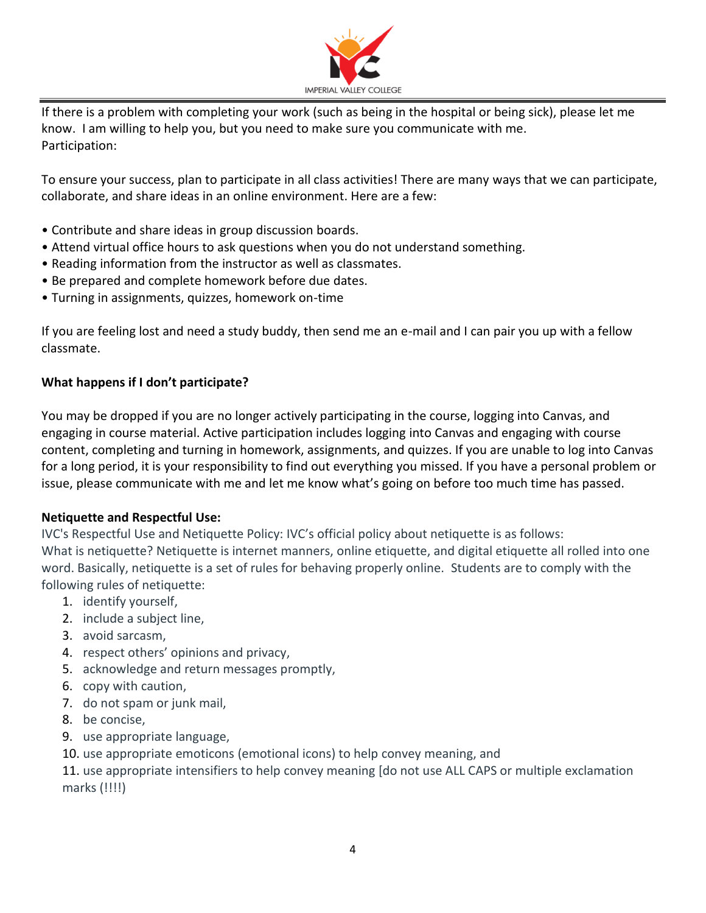

If there is a problem with completing your work (such as being in the hospital or being sick), please let me know. I am willing to help you, but you need to make sure you communicate with me. Participation:

To ensure your success, plan to participate in all class activities! There are many ways that we can participate, collaborate, and share ideas in an online environment. Here are a few:

- Contribute and share ideas in group discussion boards.
- Attend virtual office hours to ask questions when you do not understand something.
- Reading information from the instructor as well as classmates.
- Be prepared and complete homework before due dates.
- Turning in assignments, quizzes, homework on-time

If you are feeling lost and need a study buddy, then send me an e-mail and I can pair you up with a fellow classmate.

# **What happens if I don't participate?**

You may be dropped if you are no longer actively participating in the course, logging into Canvas, and engaging in course material. Active participation includes logging into Canvas and engaging with course content, completing and turning in homework, assignments, and quizzes. If you are unable to log into Canvas for a long period, it is your responsibility to find out everything you missed. If you have a personal problem or issue, please communicate with me and let me know what's going on before too much time has passed.

# **Netiquette and Respectful Use:**

IVC's Respectful Use and Netiquette Policy: IVC's official policy about netiquette is as follows: What is netiquette? Netiquette is internet manners, online etiquette, and digital etiquette all rolled into one word. Basically, netiquette is a set of rules for behaving properly online. Students are to comply with the following rules of netiquette:

- 1. identify yourself,
- 2. include a subject line,
- 3. avoid sarcasm,
- 4. respect others' opinions and privacy,
- 5. acknowledge and return messages promptly,
- 6. copy with caution,
- 7. do not spam or junk mail,
- 8. be concise,
- 9. use appropriate language,
- 10. use appropriate emoticons (emotional icons) to help convey meaning, and

11. use appropriate intensifiers to help convey meaning [do not use ALL CAPS or multiple exclamation marks (!!!!)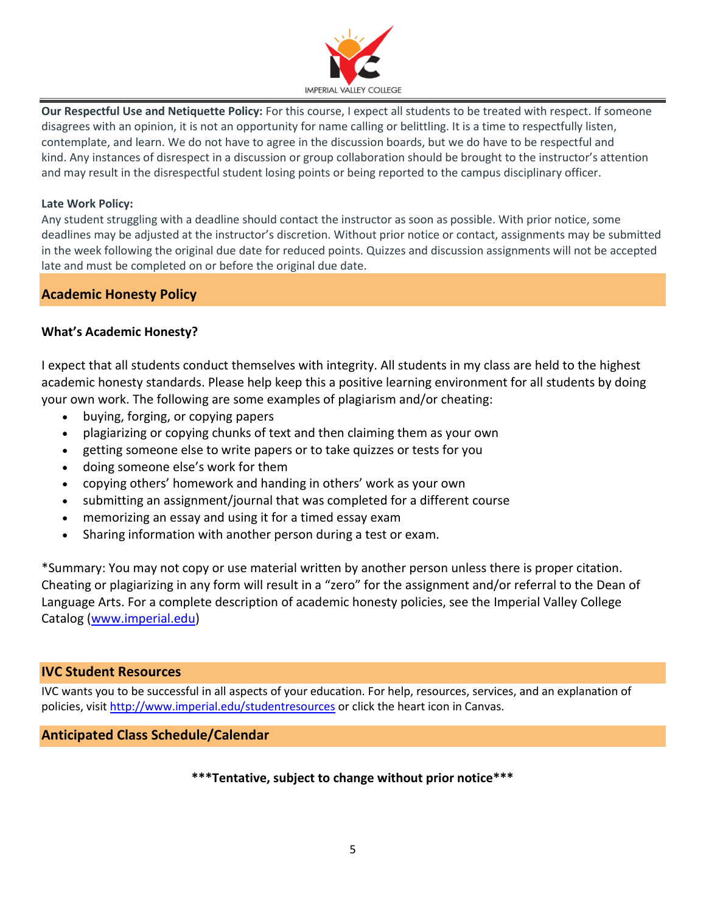

**Our Respectful Use and Netiquette Policy:** For this course, I expect all students to be treated with respect. If someone disagrees with an opinion, it is not an opportunity for name calling or belittling. It is a time to respectfully listen, contemplate, and learn. We do not have to agree in the discussion boards, but we do have to be respectful and kind. Any instances of disrespect in a discussion or group collaboration should be brought to the instructor's attention and may result in the disrespectful student losing points or being reported to the campus disciplinary officer.

### **Late Work Policy:**

Any student struggling with a deadline should contact the instructor as soon as possible. With prior notice, some deadlines may be adjusted at the instructor's discretion. Without prior notice or contact, assignments may be submitted in the week following the original due date for reduced points. Quizzes and discussion assignments will not be accepted late and must be completed on or before the original due date.

# **Academic Honesty Policy**

## **What's Academic Honesty?**

I expect that all students conduct themselves with integrity. All students in my class are held to the highest academic honesty standards. Please help keep this a positive learning environment for all students by doing your own work. The following are some examples of plagiarism and/or cheating:

- buying, forging, or copying papers
- plagiarizing or copying chunks of text and then claiming them as your own
- getting someone else to write papers or to take quizzes or tests for you
- doing someone else's work for them
- copying others' homework and handing in others' work as your own
- submitting an assignment/journal that was completed for a different course
- memorizing an essay and using it for a timed essay exam
- Sharing information with another person during a test or exam.

\*Summary: You may not copy or use material written by another person unless there is proper citation. Cheating or plagiarizing in any form will result in a "zero" for the assignment and/or referral to the Dean of Language Arts. For a complete description of academic honesty policies, see the Imperial Valley College Catalog [\(www.imperial.edu\)](http://www.imperial.edu/)

### **IVC Student Resources**

IVC wants you to be successful in all aspects of your education. For help, resources, services, and an explanation of policies, visit<http://www.imperial.edu/studentresources> or click the heart icon in Canvas.

### **Anticipated Class Schedule/Calendar**

### **\*\*\*Tentative, subject to change without prior notice\*\*\***